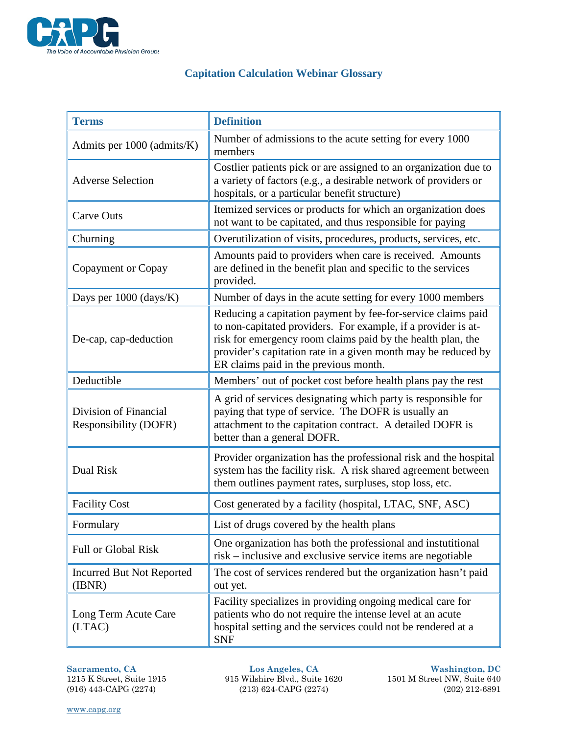

## **Capitation Calculation Webinar Glossary**

| <b>Terms</b>                                          | <b>Definition</b>                                                                                                                                                                                                                                                                                      |
|-------------------------------------------------------|--------------------------------------------------------------------------------------------------------------------------------------------------------------------------------------------------------------------------------------------------------------------------------------------------------|
| Admits per 1000 (admits/K)                            | Number of admissions to the acute setting for every 1000<br>members                                                                                                                                                                                                                                    |
| <b>Adverse Selection</b>                              | Costlier patients pick or are assigned to an organization due to<br>a variety of factors (e.g., a desirable network of providers or<br>hospitals, or a particular benefit structure)                                                                                                                   |
| <b>Carve Outs</b>                                     | Itemized services or products for which an organization does<br>not want to be capitated, and thus responsible for paying                                                                                                                                                                              |
| Churning                                              | Overutilization of visits, procedures, products, services, etc.                                                                                                                                                                                                                                        |
| Copayment or Copay                                    | Amounts paid to providers when care is received. Amounts<br>are defined in the benefit plan and specific to the services<br>provided.                                                                                                                                                                  |
| Days per 1000 (days/K)                                | Number of days in the acute setting for every 1000 members                                                                                                                                                                                                                                             |
| De-cap, cap-deduction                                 | Reducing a capitation payment by fee-for-service claims paid<br>to non-capitated providers. For example, if a provider is at-<br>risk for emergency room claims paid by the health plan, the<br>provider's capitation rate in a given month may be reduced by<br>ER claims paid in the previous month. |
| Deductible                                            | Members' out of pocket cost before health plans pay the rest                                                                                                                                                                                                                                           |
| Division of Financial<br><b>Responsibility (DOFR)</b> | A grid of services designating which party is responsible for<br>paying that type of service. The DOFR is usually an<br>attachment to the capitation contract. A detailed DOFR is<br>better than a general DOFR.                                                                                       |
| Dual Risk                                             | Provider organization has the professional risk and the hospital<br>system has the facility risk. A risk shared agreement between<br>them outlines payment rates, surpluses, stop loss, etc.                                                                                                           |
| <b>Facility Cost</b>                                  | Cost generated by a facility (hospital, LTAC, SNF, ASC)                                                                                                                                                                                                                                                |
| Formulary                                             | List of drugs covered by the health plans                                                                                                                                                                                                                                                              |
| <b>Full or Global Risk</b>                            | One organization has both the professional and instutitional<br>risk – inclusive and exclusive service items are negotiable                                                                                                                                                                            |
| <b>Incurred But Not Reported</b><br>(BNR)             | The cost of services rendered but the organization hasn't paid<br>out yet.                                                                                                                                                                                                                             |
| Long Term Acute Care<br>(LTAC)                        | Facility specializes in providing ongoing medical care for<br>patients who do not require the intense level at an acute<br>hospital setting and the services could not be rendered at a<br><b>SNF</b>                                                                                                  |

915 Wilshire Blvd., Suite 1620 (916) 443-CAPG (2274) (213) 624-CAPG (2274) (202) 212-6891

**Sacramento, CA Los Angeles, CA Washington, DC**